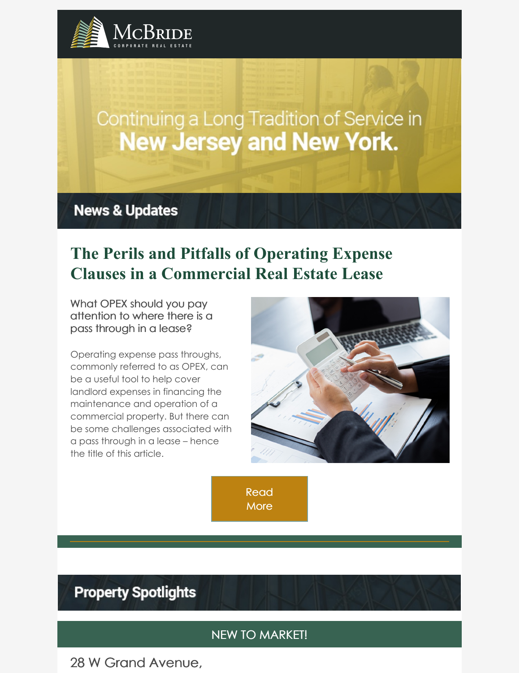

# Continuing a Long Tradition of Service in **New Jersey and New York.**

# **News & Updates**

# **The Perils and Pitfalls of Operating Expense Clauses in a Commercial Real Estate Lease**

What OPEX should you pay attention to where there is a pass through in a lease?

Operating expense pass throughs, commonly referred to as OPEX, can be a useful tool to help cover landlord expenses in financing the maintenance and operation of a commercial property. But there can be some challenges associated with a pass through in a lease – hence the title of this article.



[Read](https://www.mcbridecorpre.com/the-perils-and-pitfalls-of-operating-expense-clauses-in-a-commercial-real-estate-lease/) **More** 

# **Property Spotlights**

### NEW TO MARKET!

28 W Grand Avenue,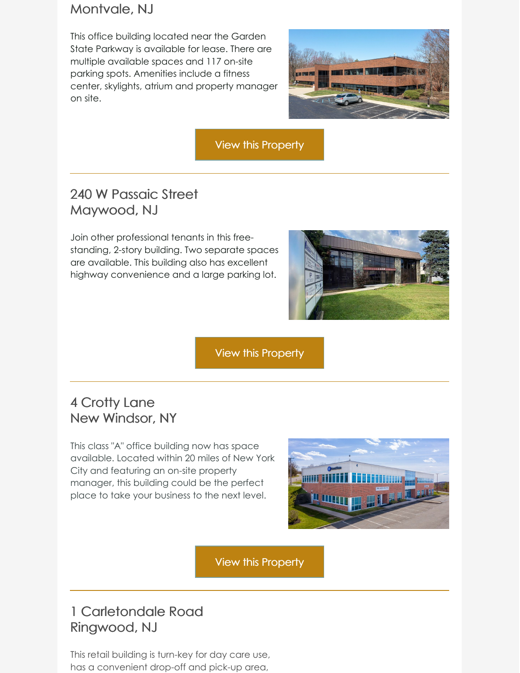### Montvale, NJ

This office building located near the Garden State Parkway is available for lease. There are multiple available spaces and 117 on-site parking spots. Amenities include a fitness center, skylights, atrium and property manager on site.



View this [Property](https://looplink.mcbridecorpre.com/Listing/28-W-Grand-Ave-Montvale-NJ/23133094/)

# 240 W Passaic Street Maywood, NJ

Join other professional tenants in this freestanding, 2-story building. Two separate spaces are available. This building also has excellent highway convenience and a large parking lot.



View this [Property](https://looplink.mcbridecorpre.com/Listing/240-W-Passaic-St-Maywood-NJ/24056821/)

# 4 Crotty Lane New Windsor, NY

This class "A" office building now has space available. Located within 20 miles of New York City and featuring an on-site property manager, this building could be the perfect place to take your business to the next level.



View this [Property](https://looplink.mcbridecorpre.com/Listing/4-Crotty-Ln-New-Windsor-NY/23804103/)

# 1 Carletondale Road Ringwood, NJ

This retail building is turn-key for day care use, has a convenient drop-off and pick-up area,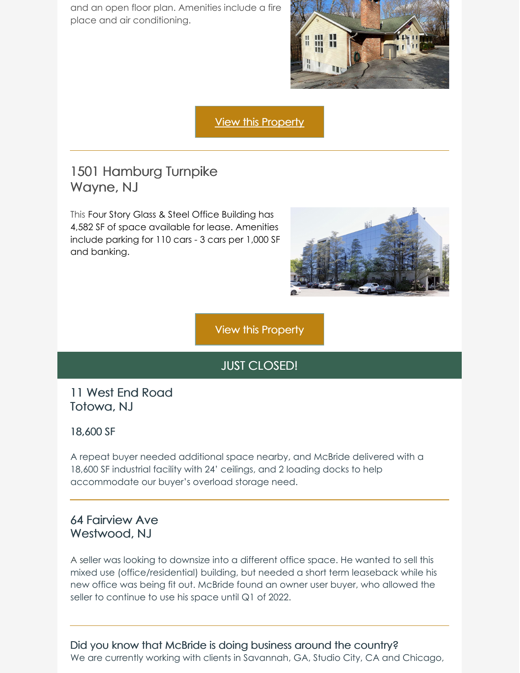and an open floor plan. Amenities include a fire place and air conditioning.



View this [Property](https://looplink.mcbridecorpre.com/Listing/1-Carletondale-Rd-Ringwood-NJ/21518514/)

### 1501 Hamburg Turnpike Wayne, NJ

This Four Story Glass & Steel Office Building has 4,582 SF of space available for lease. Amenities include parking for 110 cars - 3 cars per 1,000 SF and banking.



View this [Property](https://looplink.mcbridecorpre.com/Listing/1501-Hamburg-Tpke-Wayne-NJ/15388520/)

### JUST CLOSED!

### 11 West End Road Totowa, NJ

#### 18,600 SF

A repeat buyer needed additional space nearby, and McBride delivered with a 18,600 SF industrial facility with 24' ceilings, and 2 loading docks to help accommodate our buyer's overload storage need.

### 64 Fairview Ave Westwood, NJ

A seller was looking to downsize into a different office space. He wanted to sell this mixed use (office/residential) building, but needed a short term leaseback while his new office was being fit out. McBride found an owner user buyer, who allowed the seller to continue to use his space until Q1 of 2022.

#### Did you know that McBride is doing business around the country?

We are currently working with clients in Savannah, GA, Studio City, CA and Chicago,